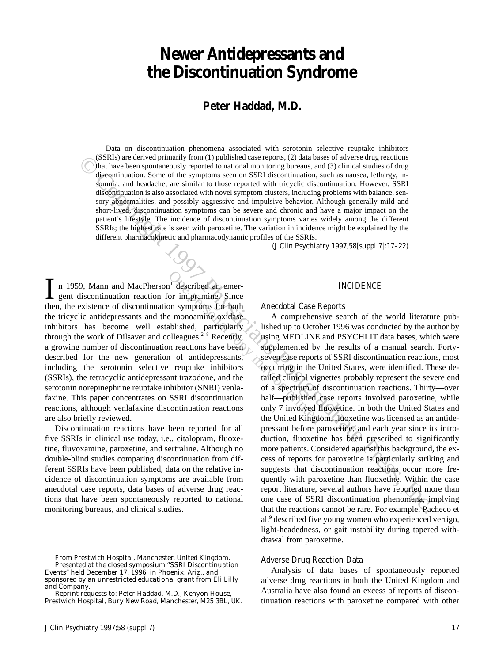# **Newer Antidepressants and the Discontinuation Syndrome**

### **Peter Haddad, M.D.**

Data on discontinuation phenomena associated with serotonin selective reuptake inhibitors (SSRIs) are derived primarily from (1) published case reports, (2) data bases of adverse drug reactions that have been spontaneously reported to national monitoring bureaus, and (3) clinical studies of drug discontinuation. Some of the symptoms seen on SSRI discontinuation, such as nausea, lethargy, insomnia, and headache, are similar to those reported with tricyclic discontinuation. However, SSRI discontinuation is also associated with novel symptom clusters, including problems with balance, sensory abnormalities, and possibly aggressive and impulsive behavior. Although generally mild and short-lived, discontinuation symptoms can be severe and chronic and have a major impact on the patient's lifestyle. The incidence of discontinuation symptoms varies widely among the different SSRIs; the highest rate is seen with paroxetine. The variation in incidence might be explained by the different pharmacokinetic and pharmacodynamic profiles of the SSRIs.

*(J Clin Psychiatry 1997;58[suppl 7]:17–22)*

n 1959, Mann and MacPherson<sup>1</sup> described an emergent discontinuation reaction for imipramine. Since In 1959, Mann and MacPherson<sup>1</sup> described an emergent discontinuation reaction for imipramine. Since then, the existence of discontinuation symptoms for both the tricyclic antidepressants and the monoamine oxidase inhibitors has become well established, particularly through the work of Dilsaver and colleagues.<sup>2-8</sup> Recently, a growing number of discontinuation reactions have been described for the new generation of antidepressants, including the serotonin selective reuptake inhibitors (SSRIs), the tetracyclic antidepressant trazodone, and the serotonin norepinephrine reuptake inhibitor (SNRI) venlafaxine. This paper concentrates on SSRI discontinuation reactions, although venlafaxine discontinuation reactions are also briefly reviewed.

Discontinuation reactions have been reported for all five SSRIs in clinical use today, i.e., citalopram, fluoxetine, fluvoxamine, paroxetine, and sertraline. Although no double-blind studies comparing discontinuation from different SSRIs have been published, data on the relative incidence of discontinuation symptoms are available from anecdotal case reports, data bases of adverse drug reactions that have been spontaneously reported to national monitoring bureaus, and clinical studies.

### INCIDENCE

### Anecdotal Case Reports

Cost Syare derived primarily from (1) published case reports, (2) data bases of adverse dumped and montioning bureaus, and (3) clinical staties of dragonization. Sure derived in the syare of the syare of the syare of the A comprehensive search of the world literature published up to October 1996 was conducted by the author by using MEDLINE and PSYCHLIT data bases, which were supplemented by the results of a manual search. Fortyseven case reports of SSRI discontinuation reactions, most occurring in the United States, were identified. These detailed clinical vignettes probably represent the severe end of a spectrum of discontinuation reactions. Thirty—over half—published case reports involved paroxetine, while only 7 involved fluoxetine. In both the United States and the United Kingdom, fluoxetine was licensed as an antidepressant before paroxetine, and each year since its introduction, fluoxetine has been prescribed to significantly more patients. Considered against this background, the excess of reports for paroxetine is particularly striking and suggests that discontinuation reactions occur more frequently with paroxetine than fluoxetine. Within the case report literature, several authors have reported more than one case of SSRI discontinuation phenomena, implying that the reactions cannot be rare. For example, Pacheco et al.<sup>9</sup> described five young women who experienced vertigo, light-headedness, or gait instability during tapered withdrawal from paroxetine.

### Adverse Drug Reaction Data

Analysis of data bases of spontaneously reported adverse drug reactions in both the United Kingdom and Australia have also found an excess of reports of discontinuation reactions with paroxetine compared with other

*From Prestwich Hospital, Manchester, United Kingdom. Presented at the closed symposium "SSRI Discontinuation Events" held December 17, 1996, in Phoenix, Ariz., and sponsored by an unrestricted educational grant from Eli Lilly and Company.*

*Reprint requests to: Peter Haddad, M.D., Kenyon House, Prestwich Hospital, Bury New Road, Manchester, M25 3BL, UK.*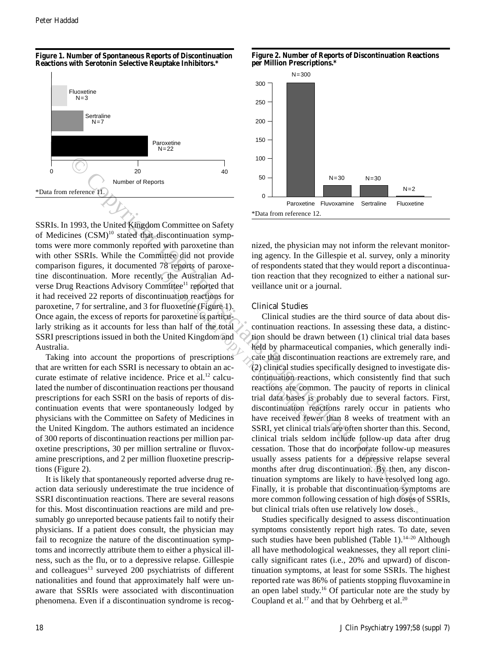### **Figure 1. Number of Spontaneous Reports of Discontinuation Reactions with Serotonin Selective Reuptake Inhibitors.\***



SSRIs. In 1993, the United Kingdom Committee on Safety of Medicines (CSM)<sup>10</sup> stated that discontinuation symptoms were more commonly reported with paroxetine than with other SSRIs. While the Committee did not provide comparison figures, it documented 78 reports of paroxetine discontinuation. More recently, the Australian Adverse Drug Reactions Advisory Committee<sup>11</sup> reported that it had received 22 reports of discontinuation reactions for paroxetine, 7 for sertraline, and 3 for fluoxetine (Figure 1). Once again, the excess of reports for paroxetine is particularly striking as it accounts for less than half of the total SSRI prescriptions issued in both the United Kingdom and Australia.

Taking into account the proportions of prescriptions that are written for each SSRI is necessary to obtain an accurate estimate of relative incidence. Price et al.<sup>12</sup> calculated the number of discontinuation reactions per thousand prescriptions for each SSRI on the basis of reports of discontinuation events that were spontaneously lodged by physicians with the Committee on Safety of Medicines in the United Kingdom. The authors estimated an incidence of 300 reports of discontinuation reactions per million paroxetine prescriptions, 30 per million sertraline or fluvoxamine prescriptions, and 2 per million fluoxetine prescriptions (Figure 2).

It is likely that spontaneously reported adverse drug reaction data seriously underestimate the true incidence of SSRI discontinuation reactions. There are several reasons for this. Most discontinuation reactions are mild and presumably go unreported because patients fail to notify their physicians. If a patient does consult, the physician may fail to recognize the nature of the discontinuation symptoms and incorrectly attribute them to either a physical illness, such as the flu, or to a depressive relapse. Gillespie and colleagues<sup>13</sup> surveyed 200 psychiatrists of different nationalities and found that approximately half were unaware that SSRIs were associated with discontinuation phenomena. Even if a discontinuation syndrome is recog-





nized, the physician may not inform the relevant monitoring agency. In the Gillespie et al. survey, only a minority of respondents stated that they would report a discontinuation reaction that they recognized to either a national surveillance unit or a journal.

### Clinical Studies

**Example 1997**<br> **Example 1997**<br> **Example 1997**<br> **Example 1997**<br> **Example 1997**<br> **Example 1997**<br> **Example 1997**<br> **Example 1997**<br> **Example 1997**<br> **Example 1997**<br> **Example 1997**<br> **Example 1997**<br> **Example 1997**<br> **Example 1997** Clinical studies are the third source of data about discontinuation reactions. In assessing these data, a distinction should be drawn between (1) clinical trial data bases held by pharmaceutical companies, which generally indicate that discontinuation reactions are extremely rare, and (2) clinical studies specifically designed to investigate discontinuation reactions, which consistently find that such reactions are common. The paucity of reports in clinical trial data bases is probably due to several factors. First, discontinuation reactions rarely occur in patients who have received fewer than 8 weeks of treatment with an SSRI, yet clinical trials are often shorter than this. Second, clinical trials seldom include follow-up data after drug cessation. Those that do incorporate follow-up measures usually assess patients for a depressive relapse several months after drug discontinuation. By then, any discontinuation symptoms are likely to have resolved long ago. Finally, it is probable that discontinuation symptoms are more common following cessation of high doses of SSRIs, but clinical trials often use relatively low doses.

> Studies specifically designed to assess discontinuation symptoms consistently report high rates. To date, seven such studies have been published (Table 1).<sup>14–20</sup> Although all have methodological weaknesses, they all report clinically significant rates (i.e., 20% and upward) of discontinuation symptoms, at least for some SSRIs. The highest reported rate was 86% of patients stopping fluvoxamine in an open label study.16 Of particular note are the study by Coupland et al.<sup>17</sup> and that by Oehrberg et al.<sup>20</sup>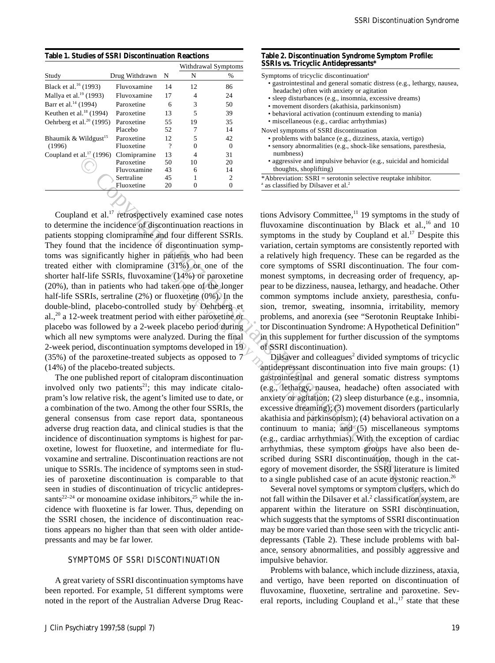**Table 1. Studies of SSRI Discontinuation Reactions**

|                                      |                |    | Withdrawal Symptoms |               |
|--------------------------------------|----------------|----|---------------------|---------------|
| Study                                | Drug Withdrawn | N  | N                   | $\frac{0}{0}$ |
| Black et al. <sup>16</sup> (1993)    | Fluvoxamine    | 14 | 12                  | 86            |
| Mallya et al. $^{19}$ (1993)         | Fluvoxamine    | 17 | 4                   | 24            |
| Barr et al. <sup>14</sup> (1994)     | Paroxetine     | 6  | 3                   | 50            |
| Keuthen et al. $^{18}$ (1994)        | Paroxetine     | 13 | 5                   | 39            |
| Oehrberg et al. <sup>20</sup> (1995) | Paroxetine     | 55 | 19                  | 35            |
|                                      | Placebo        | 52 | 7                   | 14            |
| Bhaumik & Wildgust <sup>15</sup>     | Paroxetine     | 12 | 5                   | 42            |
| (1996)                               | Fluoxetine     | ?  | $\theta$            |               |
| Coupland et al. $^{17}$ (1996)       | Clomipramine   | 13 | 4                   | 31            |
|                                      | Paroxetine     | 50 | 10                  | 20            |
|                                      | Fluvoxamine    | 43 | 6                   | 14            |
|                                      | Sertraline     | 45 |                     | 2             |
|                                      | Fluoxetine     | 20 | 0                   | 0             |

**Example the space of the space of the space of the space of the space of the space of the space of the space of the space of the space of the space of the space of the space of the space of the space of the space of the** Coupland et al.<sup>17</sup> retrospectively examined case notes to determine the incidence of discontinuation reactions in patients stopping clomipramine and four different SSRIs. They found that the incidence of discontinuation symptoms was significantly higher in patients who had been treated either with clomipramine (31%) or one of the shorter half-life SSRIs, fluvoxamine (14%) or paroxetine (20%), than in patients who had taken one of the longer half-life SSRIs, sertraline (2%) or fluoxetine (0%). In the double-blind, placebo-controlled study by Oehrberg et al.,<sup>20</sup> a 12-week treatment period with either paroxetine or placebo was followed by a 2-week placebo period during which all new symptoms were analyzed. During the final 2-week period, discontinuation symptoms developed in 19  $(35%)$  of the paroxetine-treated subjects as opposed to  $7$ (14%) of the placebo-treated subjects.

The one published report of citalopram discontinuation involved only two patients $21$ ; this may indicate citalopram's low relative risk, the agent's limited use to date, or a combination of the two. Among the other four SSRIs, the general consensus from case report data, spontaneous adverse drug reaction data, and clinical studies is that the incidence of discontinuation symptoms is highest for paroxetine, lowest for fluoxetine, and intermediate for fluvoxamine and sertraline. Discontinuation reactions are not unique to SSRIs. The incidence of symptoms seen in studies of paroxetine discontinuation is comparable to that seen in studies of discontinuation of tricyclic antidepressants<sup>22–24</sup> or monoamine oxidase inhibitors,<sup>25</sup> while the incidence with fluoxetine is far lower. Thus, depending on the SSRI chosen, the incidence of discontinuation reactions appears no higher than that seen with older antidepressants and may be far lower.

### SYMPTOMS OF SSRI DISCONTINUATION

A great variety of SSRI discontinuation symptoms have been reported. For example, 51 different symptoms were noted in the report of the Australian Adverse Drug Reac-

### **Table 2. Discontinuation Syndrome Symptom Profile: SSRIs vs. Tricyclic Antidepressants\***

Symptoms of tricyclic discontinuation<sup>a</sup>

- gastrointestinal and general somatic distress (e.g., lethargy, nausea, headache) often with anxiety or agitation
- sleep disturbances (e.g., insomnia, excessive dreams)
- movement disorders (akathisia, parkinsonism)
- behavioral activation (continuum extending to mania)
- miscellaneous (e.g., cardiac arrhythmias)
- Novel symptoms of SSRI discontinuation
	- problems with balance (e.g., dizziness, ataxia, vertigo) • sensory abnormalities (e.g., shock-like sensations, paresthesia, numbness)
	- aggressive and impulsive behavior (e.g., suicidal and homicidal thoughts, shoplifting)

\*Abbreviation: SSRI = serotonin selective reuptake inhibitor. <sup>a</sup> as classified by Dilsaver et al.<sup>2</sup>

tions Advisory Committee, $11$  19 symptoms in the study of fluvoxamine discontinuation by Black et al.,<sup>16</sup> and 10 symptoms in the study by Coupland et  $al.^{17}$  Despite this variation, certain symptoms are consistently reported with a relatively high frequency. These can be regarded as the core symptoms of SSRI discontinuation. The four commonest symptoms, in decreasing order of frequency, appear to be dizziness, nausea, lethargy, and headache. Other common symptoms include anxiety, paresthesia, confusion, tremor, sweating, insomnia, irritability, memory problems, and anorexia (see "Serotonin Reuptake Inhibitor Discontinuation Syndrome: A Hypothetical Definition" in this supplement for further discussion of the symptoms of SSRI discontinuation).

Dilsaver and colleagues<sup>2</sup> divided symptoms of tricyclic antidepressant discontinuation into five main groups: (1) gastrointestinal and general somatic distress symptoms (e.g., lethargy, nausea, headache) often associated with anxiety or agitation; (2) sleep disturbance (e.g., insomnia, excessive dreaming); (3) movement disorders (particularly akathisia and parkinsonism); (4) behavioral activation on a continuum to mania; and (5) miscellaneous symptoms (e.g., cardiac arrhythmias). With the exception of cardiac arrhythmias, these symptom groups have also been described during SSRI discontinuation, though in the category of movement disorder, the SSRI literature is limited to a single published case of an acute dystonic reaction.<sup>26</sup>

Several novel symptoms or symptom clusters, which do not fall within the Dilsaver et al.<sup>2</sup> classification system, are apparent within the literature on SSRI discontinuation, which suggests that the symptoms of SSRI discontinuation may be more varied than those seen with the tricyclic antidepressants (Table 2). These include problems with balance, sensory abnormalities, and possibly aggressive and impulsive behavior.

Problems with balance, which include dizziness, ataxia, and vertigo, have been reported on discontinuation of fluvoxamine, fluoxetine, sertraline and paroxetine. Several reports, including Coupland et al., $17$  state that these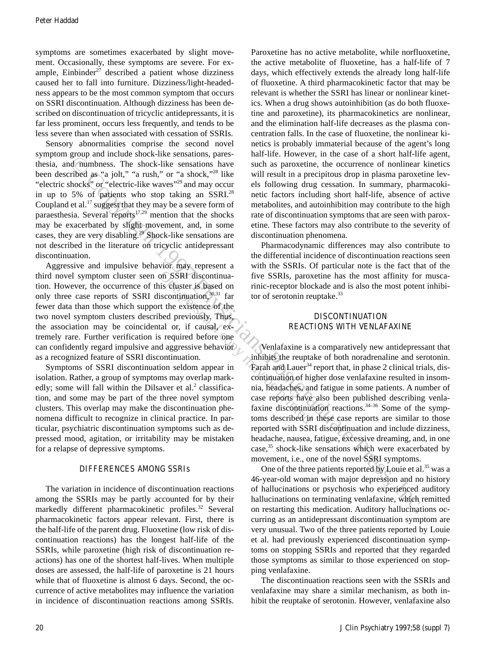symptoms are sometimes exacerbated by slight movement. Occasionally, these symptoms are severe. For example, Einbinder $27$  described a patient whose dizziness caused her to fall into furniture. Dizziness/light-headedness appears to be the most common symptom that occurs on SSRI discontinuation. Although dizziness has been described on discontinuation of tricyclic antidepressants, it is far less prominent, occurs less frequently, and tends to be less severe than when associated with cessation of SSRIs.

Sensory abnormalities comprise the second novel symptom group and include shock-like sensations, paresthesia, and numbness. The shock-like sensations have been described as "a jolt," "a rush," or "a shock,"28 like "electric shocks" or "electric-like waves"29 and may occur in up to 5% of patients who stop taking an SSRI.<sup>28</sup> Coupland et al.<sup>17</sup> suggest that they may be a severe form of paraesthesia. Several reports $17.29$  mention that the shocks may be exacerbated by slight movement, and, in some cases, they are very disabling.29 Shock-like sensations are not described in the literature on tricyclic antidepressant discontinuation.

Aggressive and impulsive behavior may represent a third novel symptom cluster seen on SSRI discontinuation. However, the occurrence of this cluster is based on only three case reports of SSRI discontinuation,30,31 far fewer data than those which support the existence of the two novel symptom clusters described previously. Thus, the association may be coincidental or, if causal, extremely rare. Further verification is required before one can confidently regard impulsive and aggressive behavior as a recognized feature of SSRI discontinuation.

Symptoms of SSRI discontinuation seldom appear in isolation. Rather, a group of symptoms may overlap markedly; some will fall within the Dilsaver et al.<sup>2</sup> classification, and some may be part of the three novel symptom clusters. This overlap may make the discontinuation phenomena difficult to recognize in clinical practice. In particular, psychiatric discontinuation symptoms such as depressed mood, agitation, or irritability may be mistaken for a relapse of depressive symptoms.

### DIFFERENCES AMONG SSRIs

The variation in incidence of discontinuation reactions among the SSRIs may be partly accounted for by their markedly different pharmacokinetic profiles.<sup>32</sup> Several pharmacokinetic factors appear relevant. First, there is the half-life of the parent drug. Fluoxetine (low risk of discontinuation reactions) has the longest half-life of the SSRIs, while paroxetine (high risk of discontinuation reactions) has one of the shortest half-lives. When multiple doses are assessed, the half-life of paroxetine is 21 hours while that of fluoxetine is almost 6 days. Second, the occurrence of active metabolites may influence the variation in incidence of discontinuation reactions among SSRIs. Paroxetine has no active metabolite, while norfluoxetine, the active metabolite of fluoxetine, has a half-life of 7 days, which effectively extends the already long half-life of fluoxetine. A third pharmacokinetic factor that may be relevant is whether the SSRI has linear or nonlinear kinetics. When a drug shows autoinhibition (as do both fluoxetine and paroxetine), its pharmacokinetics are nonlinear, and the elimination half-life decreases as the plasma concentration falls. In the case of fluoxetine, the nonlinear kinetics is probably immaterial because of the agent's long half-life. However, in the case of a short half-life agent, such as paroxetine, the occurrence of nonlinear kinetics will result in a precipitous drop in plasma paroxetine levels following drug cessation. In summary, pharmacokinetic factors including short half-life, absence of active metabolites, and autoinhibition may contribute to the high rate of discontinuation symptoms that are seen with paroxetine. These factors may also contribute to the severity of discontinuation phenomena.

Pharmacodynamic differences may also contribute to the differential incidence of discontinuation reactions seen with the SSRIs. Of particular note is the fact that of the five SSRIs, paroxetine has the most affinity for muscarinic-receptor blockade and is also the most potent inhibitor of serotonin reuptake.<sup>33</sup>

### DISCONTINUATION REACTIONS WITH VENLAFAXINE

From the therm is the same of the same of the same of the same of the same of the same of the same of the same of the same of the same of the same of the same of the same of the same of the same of the same of the same of Venlafaxine is a comparatively new antidepressant that inhibits the reuptake of both noradrenaline and serotonin. Farah and Lauer<sup>34</sup> report that, in phase 2 clinical trials, discontinuation of higher dose venlafaxine resulted in insomnia, headaches, and fatigue in some patients. A number of case reports have also been published describing venlafaxine discontinuation reactions.<sup>34-36</sup> Some of the symptoms described in these case reports are similar to those reported with SSRI discontinuation and include dizziness, headache, nausea, fatigue, excessive dreaming, and, in one case,<sup>35</sup> shock-like sensations which were exacerbated by movement, i.e., one of the novel SSRI symptoms.

One of the three patients reported by Louie et al.<sup>35</sup> was a 46-year-old woman with major depression and no history of hallucinations or psychosis who experienced auditory hallucinations on terminating venlafaxine, which remitted on restarting this medication. Auditory hallucinations occurring as an antidepressant discontinuation symptom are very unusual. Two of the three patients reported by Louie et al. had previously experienced discontinuation symptoms on stopping SSRIs and reported that they regarded those symptoms as similar to those experienced on stopping venlafaxine.

The discontinuation reactions seen with the SSRIs and venlafaxine may share a similar mechanism, as both inhibit the reuptake of serotonin. However, venlafaxine also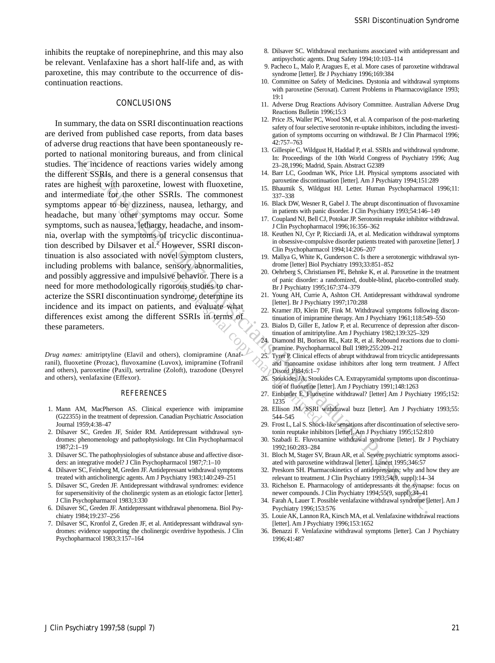inhibits the reuptake of norepinephrine, and this may also be relevant. Venlafaxine has a short half-life and, as with paroxetine, this may contribute to the occurrence of discontinuation reactions.

### CONCLUSIONS

Since the state of the two states in the state of the state of the state of the state of the state of the state of the state of the state of the state of the state of the state of the state of the state of the state of t In summary, the data on SSRI discontinuation reactions are derived from published case reports, from data bases of adverse drug reactions that have been spontaneously reported to national monitoring bureaus, and from clinical studies. The incidence of reactions varies widely among the different SSRIs, and there is a general consensus that rates are highest with paroxetine, lowest with fluoxetine, and intermediate for the other SSRIs. The commonest symptoms appear to be dizziness, nausea, lethargy, and headache, but many other symptoms may occur. Some symptoms, such as nausea, lethargy, headache, and insomnia, overlap with the symptoms of tricyclic discontinuation described by Dilsaver et al.<sup>2</sup> However, SSRI discontinuation is also associated with novel symptom clusters, including problems with balance, sensory abnormalities, and possibly aggressive and impulsive behavior. There is a need for more methodologically rigorous studies to characterize the SSRI discontinuation syndrome, determine its incidence and its impact on patients, and evaluate what differences exist among the different SSRIs in terms of these parameters.

*Drug names:* amitriptyline (Elavil and others), clomipramine (Anafranil), fluoxetine (Prozac), fluvoxamine (Luvox), imipramine (Tofranil and others), paroxetine (Paxil), sertraline (Zoloft), trazodone (Desyrel and others), venlafaxine (Effexor).

#### REFERENCES

- 1. Mann AM, MacPherson AS. Clinical experience with imipramine (G22355) in the treatment of depression. Canadian Psychiatric Association Journal 1959;4:38–47
- 2. Dilsaver SC, Greden JF, Snider RM. Antidepressant withdrawal syndromes: phenomenology and pathophysiology. Int Clin Psychopharmacol 1987;2:1–19
- 3. Dilsaver SC. The pathophysiologies of substance abuse and affective disorders: an integrative model? J Clin Psychopharmacol 1987;7:1–10
- 4. Dilsaver SC, Feinberg M, Greden JF. Antidepressant withdrawal symptoms treated with anticholinergic agents. Am J Psychiatry 1983;140:249–251
- 5. Dilsaver SC, Greden JF. Antidepressant withdrawal syndromes: evidence for supersensitivity of the cholinergic system as an etiologic factor [letter]. J Clin Psychopharmacol 1983;3:330
- 6. Dilsaver SC, Greden JF. Antidepressant withdrawal phenomena. Biol Psychiatry 1984;19:237–256
- 7. Dilsaver SC, Kronfol Z, Greden JF, et al. Antidepressant withdrawal syndromes: evidence supporting the cholinergic overdrive hypothesis. J Clin Psychopharmacol 1983;3:157–164
- 8. Dilsaver SC. Withdrawal mechanisms associated with antidepressant and antipsychotic agents. Drug Safety 1994;10:103–114
- 9. Pacheco L, Malo P, Aragues E, et al. More cases of paroxetine withdrawal syndrome [letter]. Br J Psychiatry 1996;169:384
- 10. Committee on Safety of Medicines. Dystonia and withdrawal symptoms with paroxetine (Seroxat). Current Problems in Pharmacovigilance 1993; 19:1
- 11. Adverse Drug Reactions Advisory Committee. Australian Adverse Drug Reactions Bulletin 1996;15:3
- 12. Price JS, Waller PC, Wood SM, et al. A comparison of the post-marketing safety of four selective serotonin re-uptake inhibitors, including the investigation of symptoms occurring on withdrawal. Br J Clin Pharmacol 1996; 42:757–763
- 13. Gillespie C, Wildgust H, Haddad P, et al. SSRIs and withdrawal syndrome. In: Proceedings of the 10th World Congress of Psychiatry 1996; Aug 23–28,1996; Madrid, Spain. Abstract G2389
- 14. Barr LC, Goodman WK, Price LH. Physical symptoms associated with paroxetine discontinuation [letter]. Am J Psychiatry 1994;151:289
- 15. Bhaumik S, Wildgust HJ. Letter. Human Psychopharmacol 1996;11: 337–338
- 16. Black DW, Wesner R, Gabel J. The abrupt discontinuation of fluvoxamine in patients with panic disorder. J Clin Psychiatry 1993;54:146–149
- 17. Coupland NJ, Bell CJ, Potokar JP. Serotonin reuptake inhibitor withdrawal. Clin Psychopharmacol 1996;16:356-362
- 18. Keuthen NJ, Cyr P, Ricciardi JA, et al. Medication withdrawal symptoms in obsessive-compulsive disorder patients treated with paroxetine [letter]. J Clin Psychopharmacol 1994;14:206–207
- 19. Mallya G, White K, Gunderson C. Is there a serotonergic withdrawal syndrome [letter] Biol Psychiatry 1993;33:851–852
- 20. Oehrberg S, Christiansen PE, Behnke K, et al. Paroxetine in the treatment of panic disorder: a randomized, double-blind, placebo-controlled study. Br J Psychiatry 1995;167:374–379
- 21. Young AH, Currie A, Ashton CH. Antidepressant withdrawal syndrome [letter]. Br J Psychiatry 1997;170:288
- 22. Kramer JD, Klein DF, Fink M. Withdrawal symptoms following discontinuation of imipramine therapy. Am J Psychiatry 1961;118:549–550
- 23. Bialos D, Giller E, Jatlow P, et al. Recurrence of depression after discontinuation of amitriptyline. Am J Psychiatry 1982;139:325–329
- 24. Diamond BI, Borison RL, Katz R, et al. Rebound reactions due to clomipramine. Psychopharmacol Bull 1989;255:209–212
- 25. Tyrer P. Clinical effects of abrupt withdrawal from tricyclic antidepressants and monoamine oxidase inhibitors after long term treatment. J Affect Disord 1984;6:1–7
- 26. Stoukides JA, Stoukides CA. Extrapyramidal symptoms upon discontinuation of fluoxetine [letter]. Am J Psychiatry 1991;148:1263
- 27. Einbinder E. Fluoxetine withdrawal? [letter] Am J Psychiatry 1995;152: 1235
- 28. Ellison JM. SSRI withdrawal buzz [letter]. Am J Psychiatry 1993;55: 544–545
- 29. Frost L, Lal S. Shock-like sensations after discontinuation of selective serotonin reuptake inhibitors [letter]. Am J Psychiatry 1995;152:810
- 30. Szabadi E. Fluvoxamine withdrawal syndrome [letter]. Br J Psychiatry 1992;160:283–284
- 31. Bloch M, Stager SV, Braun AR, et al. Severe psychiatric symptoms associated with paroxetine withdrawal [letter]. Lancet 1995;346:57
- 32. Preskorn SH. Pharmacokinetics of antidepressants: why and how they are relevant to treatment. J Clin Psychiatry 1993;54(9, suppl):14–34
- 33. Richelson E. Pharmacology of antidepressants at the synapse: focus on newer compounds. J Clin Psychiatry 1994;55(9, suppl):34–41
- 34. Farah A, Lauer T. Possible venlafaxine withdrawal syndrome [letter]. Am J Psychiatry 1996;153:576
- Louie AK, Lannon RA, Kirsch MA, et al. Venlafaxine withdrawal reactions [letter]. Am J Psychiatry 1996;153:1652
- 36. Benazzi F. Venlafaxine withdrawal symptoms [letter]. Can J Psychiatry 1996;41:487